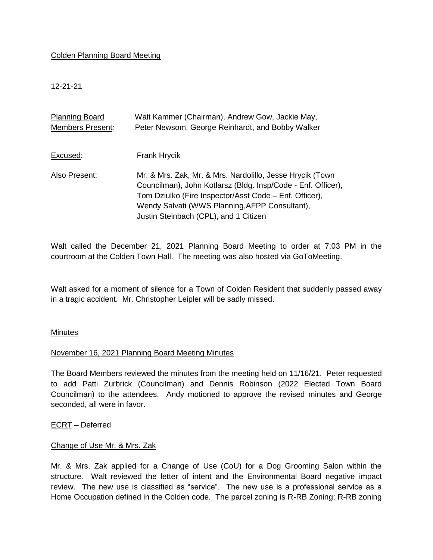## Colden Planning Board Meeting

12-21-21

| <b>Planning Board</b> | Walt Kammer (Chairman), Andrew Gow, Jackie May,                                                                                                                                                                                                                                |
|-----------------------|--------------------------------------------------------------------------------------------------------------------------------------------------------------------------------------------------------------------------------------------------------------------------------|
| Members Present:      | Peter Newsom, George Reinhardt, and Bobby Walker                                                                                                                                                                                                                               |
|                       |                                                                                                                                                                                                                                                                                |
| Excused:              | Frank Hrycik                                                                                                                                                                                                                                                                   |
| Also Present:         | Mr. & Mrs. Zak, Mr. & Mrs. Nardolillo, Jesse Hrycik (Town<br>Councilman), John Kotlarsz (Bldg. Insp/Code - Enf. Officer),<br>Tom Dziulko (Fire Inspector/Asst Code – Enf. Officer),<br>Wendy Salvati (WWS Planning, AFPP Consultant),<br>Justin Steinbach (CPL), and 1 Citizen |

Walt called the December 21, 2021 Planning Board Meeting to order at 7:03 PM in the courtroom at the Colden Town Hall. The meeting was also hosted via GoToMeeting.

Walt asked for a moment of silence for a Town of Colden Resident that suddenly passed away in a tragic accident. Mr. Christopher Leipler will be sadly missed.

## **Minutes**

## November 16, 2021 Planning Board Meeting Minutes

The Board Members reviewed the minutes from the meeting held on 11/16/21. Peter requested to add Patti Zurbrick (Councilman) and Dennis Robinson (2022 Elected Town Board Councilman) to the attendees. Andy motioned to approve the revised minutes and George seconded, all were in favor.

## ECRT – Deferred

### Change of Use Mr. & Mrs. Zak

Mr. & Mrs. Zak applied for a Change of Use (CoU) for a Dog Grooming Salon within the structure. Walt reviewed the letter of intent and the Environmental Board negative impact review. The new use is classified as "service". The new use is a professional service as a Home Occupation defined in the Colden code. The parcel zoning is R-RB Zoning; R-RB zoning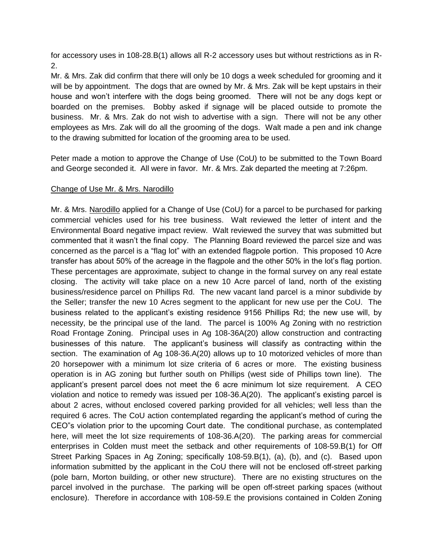for accessory uses in 108-28.B(1) allows all R-2 accessory uses but without restrictions as in R-2.

Mr. & Mrs. Zak did confirm that there will only be 10 dogs a week scheduled for grooming and it will be by appointment. The dogs that are owned by Mr. & Mrs. Zak will be kept upstairs in their house and won't interfere with the dogs being groomed. There will not be any dogs kept or boarded on the premises. Bobby asked if signage will be placed outside to promote the business. Mr. & Mrs. Zak do not wish to advertise with a sign. There will not be any other employees as Mrs. Zak will do all the grooming of the dogs. Walt made a pen and ink change to the drawing submitted for location of the grooming area to be used.

Peter made a motion to approve the Change of Use (CoU) to be submitted to the Town Board and George seconded it. All were in favor. Mr. & Mrs. Zak departed the meeting at 7:26pm.

# Change of Use Mr. & Mrs. Narodillo

Mr. & Mrs. Narodillo applied for a Change of Use (CoU) for a parcel to be purchased for parking commercial vehicles used for his tree business. Walt reviewed the letter of intent and the Environmental Board negative impact review. Walt reviewed the survey that was submitted but commented that it wasn't the final copy. The Planning Board reviewed the parcel size and was concerned as the parcel is a "flag lot" with an extended flagpole portion. This proposed 10 Acre transfer has about 50% of the acreage in the flagpole and the other 50% in the lot's flag portion. These percentages are approximate, subject to change in the formal survey on any real estate closing. The activity will take place on a new 10 Acre parcel of land, north of the existing business/residence parcel on Phillips Rd. The new vacant land parcel is a minor subdivide by the Seller; transfer the new 10 Acres segment to the applicant for new use per the CoU. The business related to the applicant's existing residence 9156 Phillips Rd; the new use will, by necessity, be the principal use of the land. The parcel is 100% Ag Zoning with no restriction Road Frontage Zoning. Principal uses in Ag 108-36A(20) allow construction and contracting businesses of this nature. The applicant's business will classify as contracting within the section. The examination of Ag 108-36.A(20) allows up to 10 motorized vehicles of more than 20 horsepower with a minimum lot size criteria of 6 acres or more. The existing business operation is in AG zoning but further south on Phillips (west side of Phillips town line). The applicant's present parcel does not meet the 6 acre minimum lot size requirement. A CEO violation and notice to remedy was issued per 108-36.A(20). The applicant's existing parcel is about 2 acres, without enclosed covered parking provided for all vehicles; well less than the required 6 acres. The CoU action contemplated regarding the applicant's method of curing the CEO"s violation prior to the upcoming Court date. The conditional purchase, as contemplated here, will meet the lot size requirements of 108-36.A(20). The parking areas for commercial enterprises in Colden must meet the setback and other requirements of 108-59.B(1) for Off Street Parking Spaces in Ag Zoning; specifically 108-59.B(1), (a), (b), and (c). Based upon information submitted by the applicant in the CoU there will not be enclosed off-street parking (pole barn, Morton building, or other new structure). There are no existing structures on the parcel involved in the purchase. The parking will be open off-street parking spaces (without enclosure). Therefore in accordance with 108-59.E the provisions contained in Colden Zoning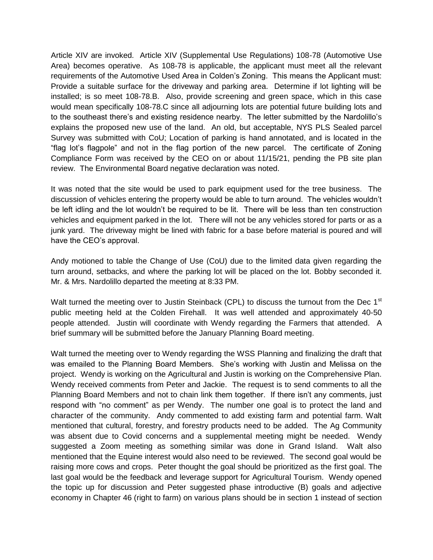Article XIV are invoked. Article XIV (Supplemental Use Regulations) 108-78 (Automotive Use Area) becomes operative. As 108-78 is applicable, the applicant must meet all the relevant requirements of the Automotive Used Area in Colden's Zoning. This means the Applicant must: Provide a suitable surface for the driveway and parking area. Determine if lot lighting will be installed; is so meet 108-78.B. Also, provide screening and green space, which in this case would mean specifically 108-78.C since all adjourning lots are potential future building lots and to the southeast there's and existing residence nearby. The letter submitted by the Nardolillo's explains the proposed new use of the land. An old, but acceptable, NYS PLS Sealed parcel Survey was submitted with CoU; Location of parking is hand annotated, and is located in the "flag lot's flagpole" and not in the flag portion of the new parcel. The certificate of Zoning Compliance Form was received by the CEO on or about 11/15/21, pending the PB site plan review. The Environmental Board negative declaration was noted.

It was noted that the site would be used to park equipment used for the tree business. The discussion of vehicles entering the property would be able to turn around. The vehicles wouldn't be left idling and the lot wouldn't be required to be lit. There will be less than ten construction vehicles and equipment parked in the lot. There will not be any vehicles stored for parts or as a junk yard. The driveway might be lined with fabric for a base before material is poured and will have the CEO's approval.

Andy motioned to table the Change of Use (CoU) due to the limited data given regarding the turn around, setbacks, and where the parking lot will be placed on the lot. Bobby seconded it. Mr. & Mrs. Nardolillo departed the meeting at 8:33 PM.

Walt turned the meeting over to Justin Steinback (CPL) to discuss the turnout from the Dec 1<sup>st</sup> public meeting held at the Colden Firehall. It was well attended and approximately 40-50 people attended. Justin will coordinate with Wendy regarding the Farmers that attended. A brief summary will be submitted before the January Planning Board meeting.

Walt turned the meeting over to Wendy regarding the WSS Planning and finalizing the draft that was emailed to the Planning Board Members. She's working with Justin and Melissa on the project. Wendy is working on the Agricultural and Justin is working on the Comprehensive Plan. Wendy received comments from Peter and Jackie. The request is to send comments to all the Planning Board Members and not to chain link them together. If there isn't any comments, just respond with "no comment" as per Wendy. The number one goal is to protect the land and character of the community. Andy commented to add existing farm and potential farm. Walt mentioned that cultural, forestry, and forestry products need to be added. The Ag Community was absent due to Covid concerns and a supplemental meeting might be needed. Wendy suggested a Zoom meeting as something similar was done in Grand Island. Walt also mentioned that the Equine interest would also need to be reviewed. The second goal would be raising more cows and crops. Peter thought the goal should be prioritized as the first goal. The last goal would be the feedback and leverage support for Agricultural Tourism. Wendy opened the topic up for discussion and Peter suggested phase introductive (B) goals and adjective economy in Chapter 46 (right to farm) on various plans should be in section 1 instead of section